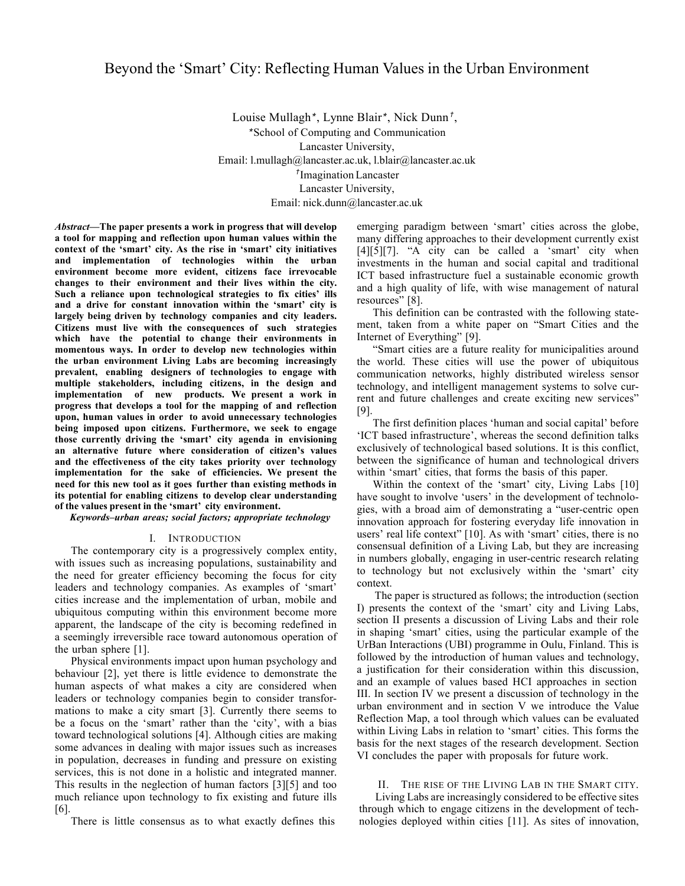# Beyond the 'Smart' City: Reflecting Human Values in the Urban Environment

Louise Mullagh∗, Lynne Blair∗, Nick Dunn*†*, <sup>∗</sup>School of Computing and Communication Lancaster University, Email: l.mullagh@lancaster.ac.uk, l.blair@lancaster.ac.uk *†*Imagination Lancaster Lancaster University, Email: nick.dunn@lancaster.ac.uk

*Abstract***—The paper presents a work in progress that will develop a tool for mapping and reflection upon human values within the context of the 'smart' city. As the rise in 'smart' city initiatives and implementation of technologies within the urban environment become more evident, citizens face irrevocable changes to their environment and their lives within the city. Such a reliance upon technological strategies to fix cities' ills and a drive for constant innovation within the 'smart' city is largely being driven by technology companies and city leaders. Citizens must live with the consequences of such strategies which have the potential to change their environments in momentous ways. In order to develop new technologies within the urban environment Living Labs are becoming increasingly prevalent, enabling designers of technologies to engage with multiple stakeholders, including citizens, in the design and implementation of new products. We present a work in progress that develops a tool for the mapping of and reflection upon, human values in order to avoid unnecessary technologies being imposed upon citizens. Furthermore, we seek to engage those currently driving the 'smart' city agenda in envisioning an alternative future where consideration of citizen's values and the effectiveness of the city takes priority over technology implementation for the sake of efficiencies. We present the need for this new tool as it goes further than existing methods in its potential for enabling citizens to develop clear understanding of the values present in the 'smart' city environment.**

*Keywords***–***urban areas; social factors; appropriate technology*

### I. INTRODUCTION

The contemporary city is a progressively complex entity, with issues such as increasing populations, sustainability and the need for greater efficiency becoming the focus for city leaders and technology companies. As examples of 'smart' cities increase and the implementation of urban, mobile and ubiquitous computing within this environment become more apparent, the landscape of the city is becoming redefined in a seemingly irreversible race toward autonomous operation of the urban sphere [1].

Physical environments impact upon human psychology and behaviour [2], yet there is little evidence to demonstrate the human aspects of what makes a city are considered when leaders or technology companies begin to consider transformations to make a city smart [3]. Currently there seems to be a focus on the 'smart' rather than the 'city', with a bias toward technological solutions [4]. Although cities are making some advances in dealing with major issues such as increases in population, decreases in funding and pressure on existing services, this is not done in a holistic and integrated manner. This results in the neglection of human factors [3][5] and too much reliance upon technology to fix existing and future ills [6].

There is little consensus as to what exactly defines this

emerging paradigm between 'smart' cities across the globe, many differing approaches to their development currently exist [4][5][7]. "A city can be called a 'smart' city when investments in the human and social capital and traditional ICT based infrastructure fuel a sustainable economic growth and a high quality of life, with wise management of natural resources" [8].

This definition can be contrasted with the following statement, taken from a white paper on "Smart Cities and the Internet of Everything" [9].

"Smart cities are a future reality for municipalities around the world. These cities will use the power of ubiquitous communication networks, highly distributed wireless sensor technology, and intelligent management systems to solve current and future challenges and create exciting new services" [9].

The first definition places 'human and social capital' before 'ICT based infrastructure', whereas the second definition talks exclusively of technological based solutions. It is this conflict, between the significance of human and technological drivers within 'smart' cities, that forms the basis of this paper.

Within the context of the 'smart' city, Living Labs [10] have sought to involve 'users' in the development of technologies, with a broad aim of demonstrating a "user-centric open innovation approach for fostering everyday life innovation in users' real life context" [10]. As with 'smart' cities, there is no consensual definition of a Living Lab, but they are increasing in numbers globally, engaging in user-centric research relating to technology but not exclusively within the 'smart' city context.

The paper is structured as follows; the introduction (section I) presents the context of the 'smart' city and Living Labs, section II presents a discussion of Living Labs and their role in shaping 'smart' cities, using the particular example of the UrBan Interactions (UBI) programme in Oulu, Finland. This is followed by the introduction of human values and technology, a justification for their consideration within this discussion, and an example of values based HCI approaches in section III. In section IV we present a discussion of technology in the urban environment and in section V we introduce the Value Reflection Map, a tool through which values can be evaluated within Living Labs in relation to 'smart' cities. This forms the basis for the next stages of the research development. Section VI concludes the paper with proposals for future work.

#### II. THE RISE OF THE LIVING LAB IN THE SMART CITY.

Living Labs are increasingly considered to be effective sites through which to engage citizens in the development of technologies deployed within cities [11]. As sites of innovation,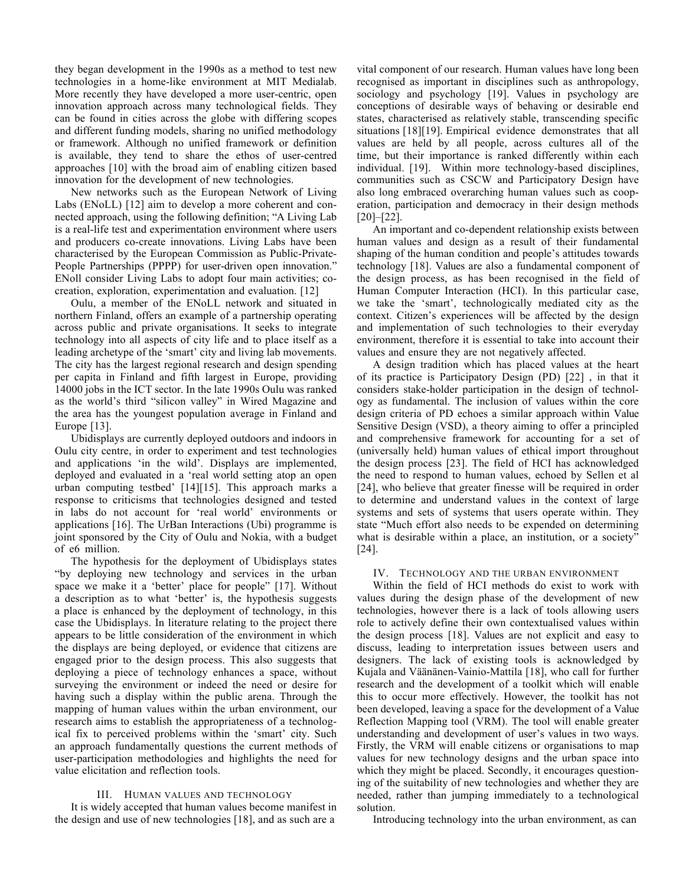they began development in the 1990s as a method to test new technologies in a home-like environment at MIT Medialab. More recently they have developed a more user-centric, open innovation approach across many technological fields. They can be found in cities across the globe with differing scopes and different funding models, sharing no unified methodology or framework. Although no unified framework or definition is available, they tend to share the ethos of user-centred approaches [10] with the broad aim of enabling citizen based innovation for the development of new technologies.

New networks such as the European Network of Living Labs (ENoLL) [12] aim to develop a more coherent and connected approach, using the following definition; "A Living Lab is a real-life test and experimentation environment where users and producers co-create innovations. Living Labs have been characterised by the European Commission as Public-Private-People Partnerships (PPPP) for user-driven open innovation." ENoll consider Living Labs to adopt four main activities; cocreation, exploration, experimentation and evaluation. [12]

Oulu, a member of the ENoLL network and situated in northern Finland, offers an example of a partnership operating across public and private organisations. It seeks to integrate technology into all aspects of city life and to place itself as a leading archetype of the 'smart' city and living lab movements. The city has the largest regional research and design spending per capita in Finland and fifth largest in Europe, providing 14000 jobs in the ICT sector. In the late 1990s Oulu was ranked as the world's third "silicon valley" in Wired Magazine and the area has the youngest population average in Finland and Europe [13].

Ubidisplays are currently deployed outdoors and indoors in Oulu city centre, in order to experiment and test technologies and applications 'in the wild'. Displays are implemented, deployed and evaluated in a 'real world setting atop an open urban computing testbed' [14][15]. This approach marks a response to criticisms that technologies designed and tested in labs do not account for 'real world' environments or applications [16]. The UrBan Interactions (Ubi) programme is joint sponsored by the City of Oulu and Nokia, with a budget of e6 million.

The hypothesis for the deployment of Ubidisplays states "by deploying new technology and services in the urban space we make it a 'better' place for people" [17]. Without a description as to what 'better' is, the hypothesis suggests a place is enhanced by the deployment of technology, in this case the Ubidisplays. In literature relating to the project there appears to be little consideration of the environment in which the displays are being deployed, or evidence that citizens are engaged prior to the design process. This also suggests that deploying a piece of technology enhances a space, without surveying the environment or indeed the need or desire for having such a display within the public arena. Through the mapping of human values within the urban environment, our research aims to establish the appropriateness of a technological fix to perceived problems within the 'smart' city. Such an approach fundamentally questions the current methods of user-participation methodologies and highlights the need for value elicitation and reflection tools.

#### III. HUMAN VALUES AND TECHNOLOGY

It is widely accepted that human values become manifest in the design and use of new technologies [18], and as such are a

vital component of our research. Human values have long been recognised as important in disciplines such as anthropology, sociology and psychology [19]. Values in psychology are conceptions of desirable ways of behaving or desirable end states, characterised as relatively stable, transcending specific situations [18][19]. Empirical evidence demonstrates that all values are held by all people, across cultures all of the time, but their importance is ranked differently within each individual. [19]. Within more technology-based disciplines, communities such as CSCW and Participatory Design have also long embraced overarching human values such as cooperation, participation and democracy in their design methods [20]–[22].

An important and co-dependent relationship exists between human values and design as a result of their fundamental shaping of the human condition and people's attitudes towards technology [18]. Values are also a fundamental component of the design process, as has been recognised in the field of Human Computer Interaction (HCI). In this particular case, we take the 'smart', technologically mediated city as the context. Citizen's experiences will be affected by the design and implementation of such technologies to their everyday environment, therefore it is essential to take into account their values and ensure they are not negatively affected.

A design tradition which has placed values at the heart of its practice is Participatory Design (PD) [22] , in that it considers stake-holder participation in the design of technology as fundamental. The inclusion of values within the core design criteria of PD echoes a similar approach within Value Sensitive Design (VSD), a theory aiming to offer a principled and comprehensive framework for accounting for a set of (universally held) human values of ethical import throughout the design process [23]. The field of HCI has acknowledged the need to respond to human values, echoed by Sellen et al [24], who believe that greater finesse will be required in order to determine and understand values in the context of large systems and sets of systems that users operate within. They state "Much effort also needs to be expended on determining what is desirable within a place, an institution, or a society" [24].

#### IV. TECHNOLOGY AND THE URBAN ENVIRONMENT

Within the field of HCI methods do exist to work with values during the design phase of the development of new technologies, however there is a lack of tools allowing users role to actively define their own contextualised values within the design process [18]. Values are not explicit and easy to discuss, leading to interpretation issues between users and designers. The lack of existing tools is acknowledged by Kujala and Väänänen-Vainio-Mattila [18], who call for further research and the development of a toolkit which will enable this to occur more effectively. However, the toolkit has not been developed, leaving a space for the development of a Value Reflection Mapping tool (VRM). The tool will enable greater understanding and development of user's values in two ways. Firstly, the VRM will enable citizens or organisations to map values for new technology designs and the urban space into which they might be placed. Secondly, it encourages questioning of the suitability of new technologies and whether they are needed, rather than jumping immediately to a technological solution.

Introducing technology into the urban environment, as can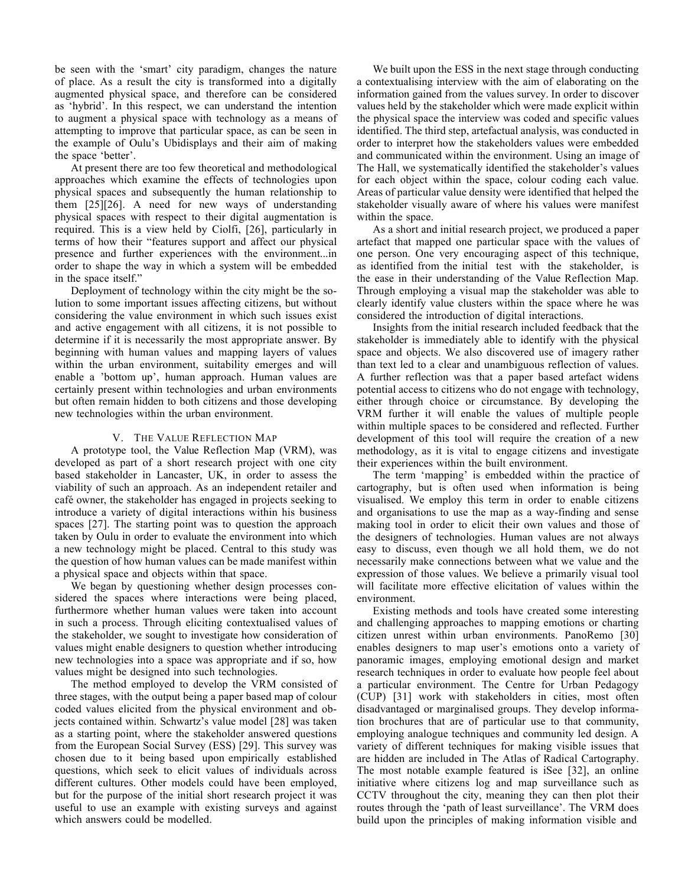be seen with the 'smart' city paradigm, changes the nature of place. As a result the city is transformed into a digitally augmented physical space, and therefore can be considered as 'hybrid'. In this respect, we can understand the intention to augment a physical space with technology as a means of attempting to improve that particular space, as can be seen in the example of Oulu's Ubidisplays and their aim of making the space 'better'.

At present there are too few theoretical and methodological approaches which examine the effects of technologies upon physical spaces and subsequently the human relationship to them [25][26]. A need for new ways of understanding physical spaces with respect to their digital augmentation is required. This is a view held by Ciolfi, [26], particularly in terms of how their "features support and affect our physical presence and further experiences with the environment...in order to shape the way in which a system will be embedded in the space itself."

Deployment of technology within the city might be the solution to some important issues affecting citizens, but without considering the value environment in which such issues exist and active engagement with all citizens, it is not possible to determine if it is necessarily the most appropriate answer. By beginning with human values and mapping layers of values within the urban environment, suitability emerges and will enable a 'bottom up', human approach. Human values are certainly present within technologies and urban environments but often remain hidden to both citizens and those developing new technologies within the urban environment.

## V. THE VALUE REFLECTION MAP

A prototype tool, the Value Reflection Map (VRM), was developed as part of a short research project with one city based stakeholder in Lancaster, UK, in order to assess the viability of such an approach. As an independent retailer and café owner, the stakeholder has engaged in projects seeking to introduce a variety of digital interactions within his business spaces [27]. The starting point was to question the approach taken by Oulu in order to evaluate the environment into which a new technology might be placed. Central to this study was the question of how human values can be made manifest within a physical space and objects within that space.

We began by questioning whether design processes considered the spaces where interactions were being placed, furthermore whether human values were taken into account in such a process. Through eliciting contextualised values of the stakeholder, we sought to investigate how consideration of values might enable designers to question whether introducing new technologies into a space was appropriate and if so, how values might be designed into such technologies.

The method employed to develop the VRM consisted of three stages, with the output being a paper based map of colour coded values elicited from the physical environment and objects contained within. Schwartz's value model [28] was taken as a starting point, where the stakeholder answered questions from the European Social Survey (ESS) [29]. This survey was chosen due to it being based upon empirically established questions, which seek to elicit values of individuals across different cultures. Other models could have been employed, but for the purpose of the initial short research project it was useful to use an example with existing surveys and against which answers could be modelled.

We built upon the ESS in the next stage through conducting a contextualising interview with the aim of elaborating on the information gained from the values survey. In order to discover values held by the stakeholder which were made explicit within the physical space the interview was coded and specific values identified. The third step, artefactual analysis, was conducted in order to interpret how the stakeholders values were embedded and communicated within the environment. Using an image of The Hall, we systematically identified the stakeholder's values for each object within the space, colour coding each value. Areas of particular value density were identified that helped the stakeholder visually aware of where his values were manifest within the space.

As a short and initial research project, we produced a paper artefact that mapped one particular space with the values of one person. One very encouraging aspect of this technique, as identified from the initial test with the stakeholder, is the ease in their understanding of the Value Reflection Map. Through employing a visual map the stakeholder was able to clearly identify value clusters within the space where he was considered the introduction of digital interactions.

Insights from the initial research included feedback that the stakeholder is immediately able to identify with the physical space and objects. We also discovered use of imagery rather than text led to a clear and unambiguous reflection of values. A further reflection was that a paper based artefact widens potential access to citizens who do not engage with technology, either through choice or circumstance. By developing the VRM further it will enable the values of multiple people within multiple spaces to be considered and reflected. Further development of this tool will require the creation of a new methodology, as it is vital to engage citizens and investigate their experiences within the built environment.

The term 'mapping' is embedded within the practice of cartography, but is often used when information is being visualised. We employ this term in order to enable citizens and organisations to use the map as a way-finding and sense making tool in order to elicit their own values and those of the designers of technologies. Human values are not always easy to discuss, even though we all hold them, we do not necessarily make connections between what we value and the expression of those values. We believe a primarily visual tool will facilitate more effective elicitation of values within the environment.

Existing methods and tools have created some interesting and challenging approaches to mapping emotions or charting citizen unrest within urban environments. PanoRemo [30] enables designers to map user's emotions onto a variety of panoramic images, employing emotional design and market research techniques in order to evaluate how people feel about a particular environment. The Centre for Urban Pedagogy (CUP) [31] work with stakeholders in cities, most often disadvantaged or marginalised groups. They develop information brochures that are of particular use to that community, employing analogue techniques and community led design. A variety of different techniques for making visible issues that are hidden are included in The Atlas of Radical Cartography. The most notable example featured is iSee [32], an online initiative where citizens log and map surveillance such as CCTV throughout the city, meaning they can then plot their routes through the 'path of least surveillance'. The VRM does build upon the principles of making information visible and